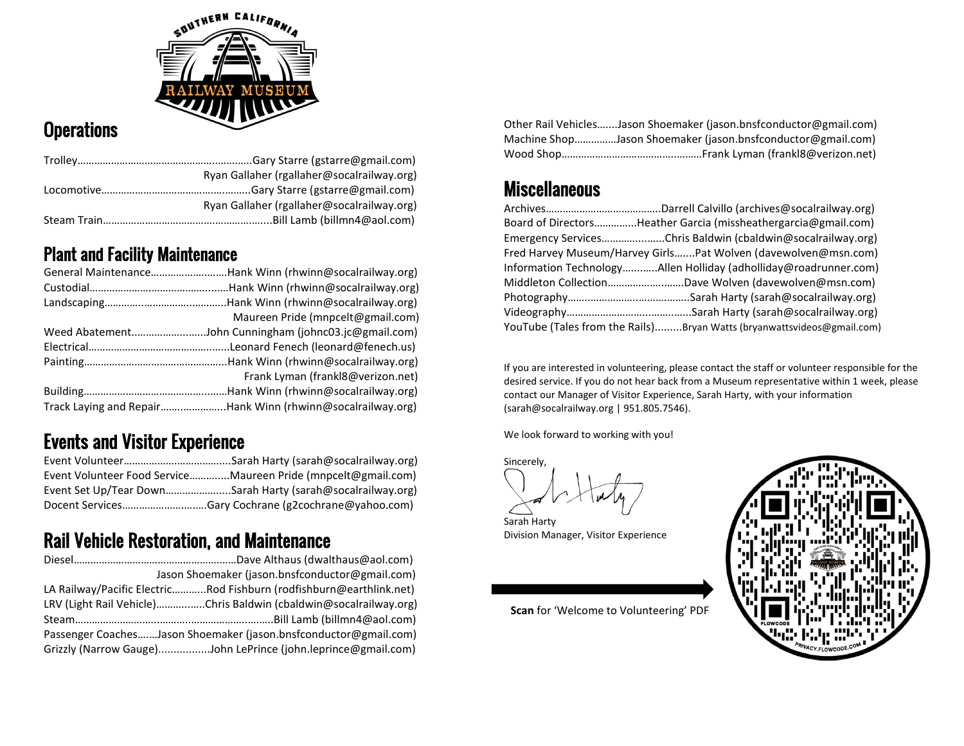

## **Operations**

| Ryan Gallaher (rgallaher@socalrailway.org) |
|--------------------------------------------|
|                                            |
| Ryan Gallaher (rgallaher@socalrailway.org) |
|                                            |

#### Plant and Facility Maintenance

| General MaintenanceHank Winn (rhwinn@socalrailway.org)     |
|------------------------------------------------------------|
|                                                            |
|                                                            |
| Maureen Pride (mnpcelt@gmail.com)                          |
|                                                            |
|                                                            |
|                                                            |
| Frank Lyman (frankl8@verizon.net)                          |
|                                                            |
| Track Laying and RepairHank Winn (rhwinn@socalrailway.org) |

## Events and Visitor Experience

| Event Volunteer Food ServiceMaureen Pride (mnpcelt@gmail.com) |
|---------------------------------------------------------------|
| Event Set Up/Tear DownSarah Harty (sarah@socalrailway.org)    |
| Docent ServicesGary Cochrane (g2cochrane@yahoo.com)           |

## Rail Vehicle Restoration, and Maintenance

| Jason Shoemaker (jason.bnsfconductor@gmail.com)                     |
|---------------------------------------------------------------------|
| LA Railway/Pacific ElectricRod Fishburn (rodfishburn@earthlink.net) |
| LRV (Light Rail Vehicle)Chris Baldwin (cbaldwin@socalrailway.org)   |
|                                                                     |
| Passenger CoachesJason Shoemaker (jason.bnsfconductor@gmail.com)    |
| Grizzly (Narrow Gauge)John LePrince (john.leprince@gmail.com)       |

Other Rail Vehicles…....Jason Shoemaker (jason.bnsfconductor@gmail.com) Machine Shop……………Jason Shoemaker (jason.bnsfconductor@gmail.com) Wood Shop…………………………………..………Frank Lyman (frankl8@verizon.net)

#### **Miscellaneous**

| Board of DirectorsHeather Garcia (missheathergarcia@gmail.com)         |
|------------------------------------------------------------------------|
| Emergency ServicesChris Baldwin (cbaldwin@socalrailway.org)            |
| Fred Harvey Museum/Harvey GirlsPat Wolven (davewolven@msn.com)         |
| Information TechnologyAllen Holliday (adholliday@roadrunner.com)       |
|                                                                        |
|                                                                        |
|                                                                        |
| YouTube (Tales from the Rails)Bryan Watts (bryanwattsvideos@gmail.com) |

If you are interested in volunteering, please contact the staff or volunteer responsible for the desired service. If you do not hear back from a Museum representative within 1 week, please contact our Manager of Visitor Experience, Sarah Harty, with your information [\(sarah@socalrailway.org](mailto:sarah@socalrailway.org) | 951.805.7546).

We look forward to working with you!

Sincerely,

Sarah Harty Division Manager, Visitor Experience

**Scan** for 'Welcome to Volunteering' PDF